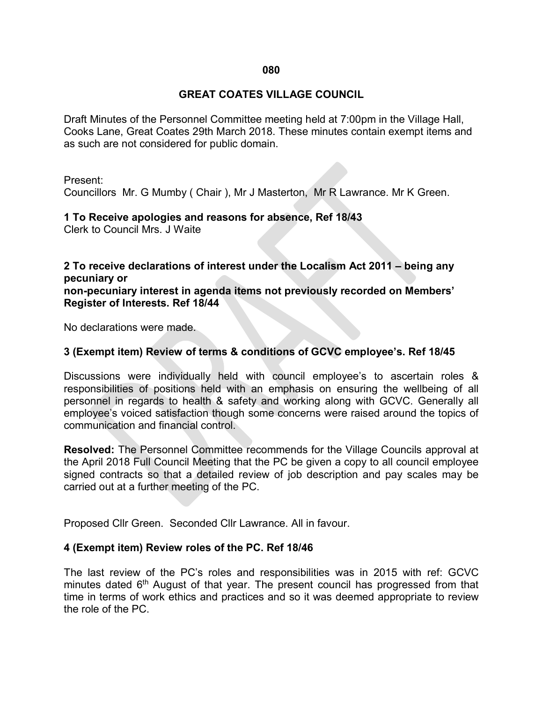## **GREAT COATES VILLAGE COUNCIL**

Draft Minutes of the Personnel Committee meeting held at 7:00pm in the Village Hall, Cooks Lane, Great Coates 29th March 2018. These minutes contain exempt items and as such are not considered for public domain.

Present:

Councillors Mr. G Mumby ( Chair ), Mr J Masterton, Mr R Lawrance. Mr K Green.

**1 To Receive apologies and reasons for absence, Ref 18/43**

Clerk to Council Mrs. J Waite

**2 To receive declarations of interest under the Localism Act 2011 – being any pecuniary or non-pecuniary interest in agenda items not previously recorded on Members'** 

**Register of Interests. Ref 18/44**

No declarations were made.

## **3 (Exempt item) Review of terms & conditions of GCVC employee's. Ref 18/45**

Discussions were individually held with council employee's to ascertain roles & responsibilities of positions held with an emphasis on ensuring the wellbeing of all personnel in regards to health & safety and working along with GCVC. Generally all employee's voiced satisfaction though some concerns were raised around the topics of communication and financial control.

**Resolved:** The Personnel Committee recommends for the Village Councils approval at the April 2018 Full Council Meeting that the PC be given a copy to all council employee signed contracts so that a detailed review of job description and pay scales may be carried out at a further meeting of the PC.

Proposed Cllr Green. Seconded Cllr Lawrance. All in favour.

## **4 (Exempt item) Review roles of the PC. Ref 18/46**

The last review of the PC's roles and responsibilities was in 2015 with ref: GCVC minutes dated  $6<sup>th</sup>$  August of that year. The present council has progressed from that time in terms of work ethics and practices and so it was deemed appropriate to review the role of the PC.